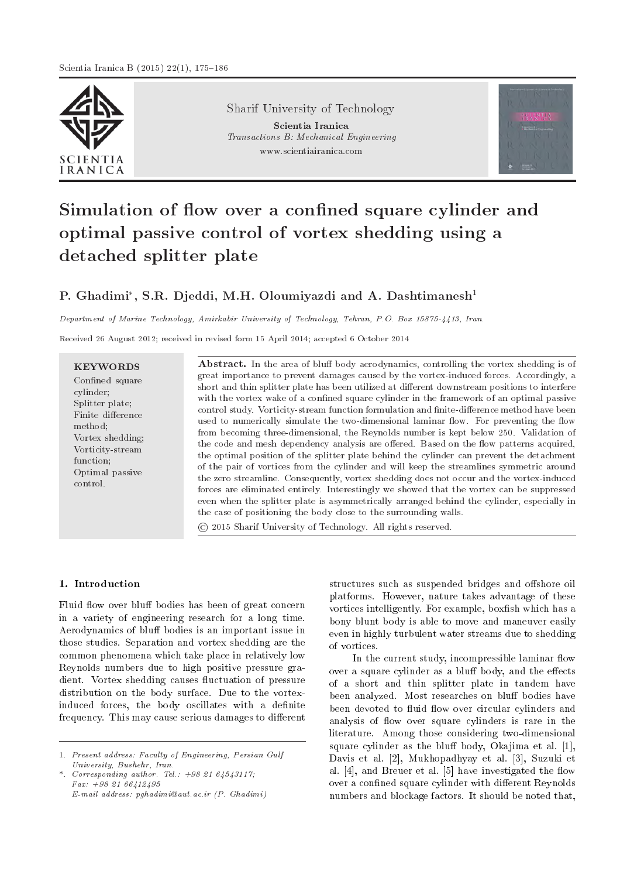

Sharif University of Technology

Scientia Iranica Transactions B: Mechanical Engineering www.scientiairanica.com



# Simulation of flow over a confined square cylinder and optimal passive control of vortex shedding using a detached splitter plate

# P. Ghadimi\*, S.R. Djeddi, M.H. Oloumiyazdi and A. Dashtimanesh $^1$

Department of Marine Technology, Amirkabir University of Technology, Tehran, P.O. Box 15875-4413, Iran.

Received 26 August 2012; received in revised form 15 April 2014; accepted 6 October 2014

**KEYWORDS** Confined square cylinder; Splitter plate; Finite difference method; Vortex shedding; Vorticity-stream function; Optimal passive control.

Abstract. In the area of bluff body aerodynamics, controlling the vortex shedding is of great importance to prevent damages caused by the vortex-induced forces. Accordingly, a short and thin splitter plate has been utilized at different downstream positions to interfere with the vortex wake of a confined square cylinder in the framework of an optimal passive control study. Vorticity-stream function formulation and finite-difference method have been used to numerically simulate the two-dimensional laminar flow. For preventing the flow from becoming three-dimensional, the Reynolds number is kept below 250. Validation of the code and mesh dependency analysis are offered. Based on the flow patterns acquired, the optimal position of the splitter plate behind the cylinder can prevent the detachment of the pair of vortices from the cylinder and will keep the streamlines symmetric around the zero streamline. Consequently, vortex shedding does not occur and the vortex-induced forces are eliminated entirely. Interestingly we showed that the vortex can be suppressed even when the splitter plate is asymmetrically arranged behind the cylinder, especially in the case of positioning the body close to the surrounding walls.

# © 2015 Sharif University of Technology. All rights reserved.

# 1. Introduction

Fluid flow over bluff bodies has been of great concern in a variety of engineering research for a long time. Aerodynamics of bluff bodies is an important issue in those studies. Separation and vortex shedding are the common phenomena which take place in relatively low Reynolds numbers due to high positive pressure gradient. Vortex shedding causes fluctuation of pressure distribution on the body surface. Due to the vortexinduced forces, the body oscillates with a definite frequency. This may cause serious damages to different

structures such as suspended bridges and offshore oil platforms. However, nature takes advantage of these vortices intelligently. For example, boxfish which has a bony blunt body is able to move and maneuver easily even in highly turbulent water streams due to shedding of vortices.

In the current study, incompressible laminar flow over a square cylinder as a bluff body, and the effects of a short and thin splitter plate in tandem have been analyzed. Most researches on bluff bodies have been devoted to fluid flow over circular cylinders and analysis of flow over square cylinders is rare in the literature. Among those considering two-dimensional square cylinder as the bluff body, Okajima et al.  $[1]$ , Davis et al. [2], Mukhopadhyay et al. [3], Suzuki et al.  $[4]$ , and Breuer et al.  $[5]$  have investigated the flow over a confined square cylinder with different Reynolds numbers and blockage factors. It should be noted that,

<sup>1.</sup> Present address: Faculty of Engineering, Persian Gulf University, Bushehr, Iran.

<sup>\*.</sup> Corresponding author. Tel.:  $+98, 21, 64, 54, 3117$ ; Fax: +98 21 66412495  $E$ -mail address: pqhadimi@aut.ac.ir  $(P.$  Ghadimi)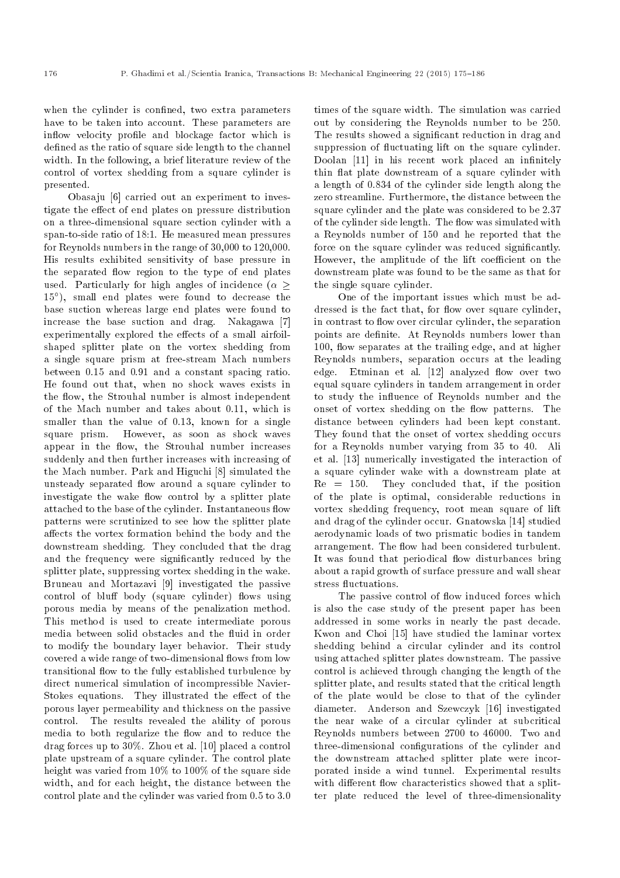when the cylinder is confined, two extra parameters have to be taken into account. These parameters are inflow velocity profile and blockage factor which is defined as the ratio of square side length to the channel width. In the following, a brief literature review of the control of vortex shedding from a square cylinder is presented.

Obasaju [6] carried out an experiment to investigate the effect of end plates on pressure distribution on a three-dimensional square section cylinder with a span-to-side ratio of 18:1. He measured mean pressures for Reynolds numbers in the range of 30,000 to 120,000. His results exhibited sensitivity of base pressure in the separated flow region to the type of end plates used. Particularly for high angles of incidence  $(\alpha >$ 15 ), small end plates were found to decrease the base suction whereas large end plates were found to increase the base suction and drag. Nakagawa [7] experimentally explored the effects of a small airfoilshaped splitter plate on the vortex shedding from a single square prism at free-stream Mach numbers between 0.15 and 0.91 and a constant spacing ratio. He found out that, when no shock waves exists in the flow, the Strouhal number is almost independent of the Mach number and takes about 0.11, which is smaller than the value of 0.13, known for a single square prism. However, as soon as shock waves appear in the flow, the Strouhal number increases suddenly and then further increases with increasing of the Mach number. Park and Higuchi [8] simulated the unsteady separated flow around a square cylinder to investigate the wake flow control by a splitter plate attached to the base of the cylinder. Instantaneous flow patterns were scrutinized to see how the splitter plate affects the vortex formation behind the body and the downstream shedding. They concluded that the drag and the frequency were signicantly reduced by the splitter plate, suppressing vortex shedding in the wake. Bruneau and Mortazavi [9] investigated the passive control of bluff body (square cylinder) flows using porous media by means of the penalization method. This method is used to create intermediate porous media between solid obstacles and the fluid in order to modify the boundary layer behavior. Their study covered a wide range of two-dimensional flows from low transitional flow to the fully established turbulence by direct numerical simulation of incompressible Navier-Stokes equations. They illustrated the effect of the porous layer permeability and thickness on the passive control. The results revealed the ability of porous media to both regularize the flow and to reduce the drag forces up to 30%. Zhou et al. [10] placed a control plate upstream of a square cylinder. The control plate height was varied from 10% to 100% of the square side width, and for each height, the distance between the control plate and the cylinder was varied from 0.5 to 3.0

times of the square width. The simulation was carried out by considering the Reynolds number to be 250. The results showed a signicant reduction in drag and suppression of fluctuating lift on the square cylinder. Doolan [11] in his recent work placed an infinitely thin flat plate downstream of a square cylinder with a length of 0.834 of the cylinder side length along the zero streamline. Furthermore, the distance between the square cylinder and the plate was considered to be 2.37 of the cylinder side length. The flow was simulated with a Reynolds number of 150 and he reported that the force on the square cylinder was reduced significantly. However, the amplitude of the lift coefficient on the downstream plate was found to be the same as that for the single square cylinder.

One of the important issues which must be addressed is the fact that, for flow over square cylinder, in contrast to flow over circular cylinder, the separation points are definite. At Reynolds numbers lower than 100, flow separates at the trailing edge, and at higher Reynolds numbers, separation occurs at the leading edge. Etminan et al. [12] analyzed flow over two equal square cylinders in tandem arrangement in order to study the influence of Reynolds number and the onset of vortex shedding on the flow patterns. The distance between cylinders had been kept constant. They found that the onset of vortex shedding occurs for a Reynolds number varying from 35 to 40. Ali et al. [13] numerically investigated the interaction of a square cylinder wake with a downstream plate at Re = 150. They concluded that, if the position of the plate is optimal, considerable reductions in vortex shedding frequency, root mean square of lift and drag of the cylinder occur. Gnatowska [14] studied aerodynamic loads of two prismatic bodies in tandem arrangement. The flow had been considered turbulent. It was found that periodical flow disturbances bring about a rapid growth of surface pressure and wall shear stress fluctuations.

The passive control of flow induced forces which is also the case study of the present paper has been addressed in some works in nearly the past decade. Kwon and Choi [15] have studied the laminar vortex shedding behind a circular cylinder and its control using attached splitter plates downstream. The passive control is achieved through changing the length of the splitter plate, and results stated that the critical length of the plate would be close to that of the cylinder diameter. Anderson and Szewczyk [16] investigated the near wake of a circular cylinder at subcritical Reynolds numbers between 2700 to 46000. Two and three-dimensional configurations of the cylinder and the downstream attached splitter plate were incorporated inside a wind tunnel. Experimental results with different flow characteristics showed that a splitter plate reduced the level of three-dimensionality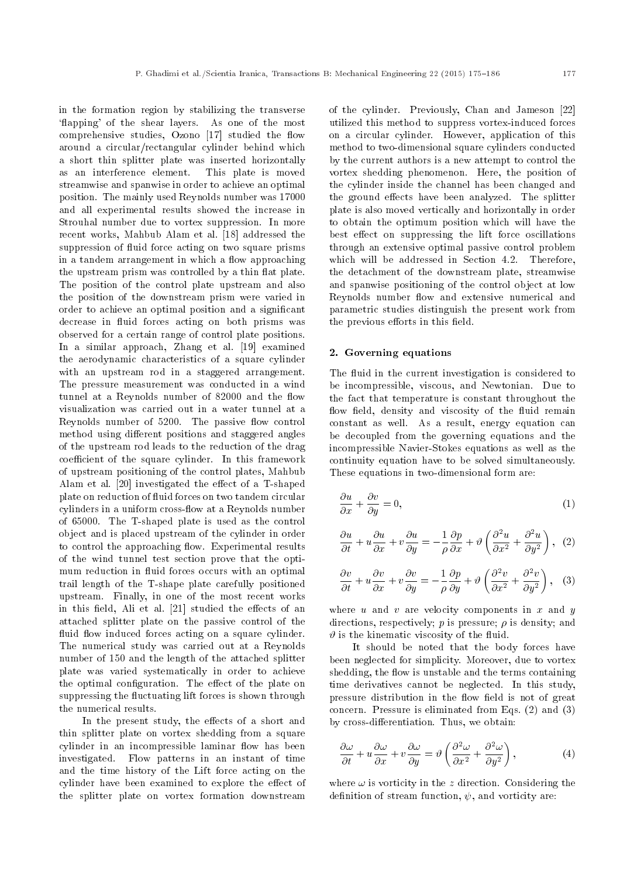in the formation region by stabilizing the transverse 'flapping' of the shear layers. As one of the most comprehensive studies, Ozono  $[17]$  studied the flow around a circular/rectangular cylinder behind which a short thin splitter plate was inserted horizontally as an interference element. This plate is moved streamwise and spanwise in order to achieve an optimal position. The mainly used Reynolds number was 17000 and all experimental results showed the increase in Strouhal number due to vortex suppression. In more recent works, Mahbub Alam et al. [18] addressed the suppression of fluid force acting on two square prisms in a tandem arrangement in which a flow approaching the upstream prism was controlled by a thin flat plate. The position of the control plate upstream and also the position of the downstream prism were varied in order to achieve an optimal position and a signicant decrease in fluid forces acting on both prisms was observed for a certain range of control plate positions. In a similar approach, Zhang et al. [19] examined the aerodynamic characteristics of a square cylinder with an upstream rod in a staggered arrangement. The pressure measurement was conducted in a wind tunnel at a Reynolds number of 82000 and the flow visualization was carried out in a water tunnel at a Reynolds number of 5200. The passive flow control method using different positions and staggered angles of the upstream rod leads to the reduction of the drag coefficient of the square cylinder. In this framework of upstream positioning of the control plates, Mahbub Alam et al. [20] investigated the effect of a T-shaped plate on reduction of fluid forces on two tandem circular cylinders in a uniform cross-flow at a Reynolds number of 65000. The T-shaped plate is used as the control object and is placed upstream of the cylinder in order to control the approaching flow. Experimental results of the wind tunnel test section prove that the optimum reduction in fluid forces occurs with an optimal trail length of the T-shape plate carefully positioned upstream. Finally, in one of the most recent works in this field, Ali et al. [21] studied the effects of an attached splitter plate on the passive control of the fluid flow induced forces acting on a square cylinder. The numerical study was carried out at a Reynolds number of 150 and the length of the attached splitter plate was varied systematically in order to achieve the optimal configuration. The effect of the plate on suppressing the fluctuating lift forces is shown through the numerical results.

In the present study, the effects of a short and thin splitter plate on vortex shedding from a square cylinder in an incompressible laminar flow has been investigated. Flow patterns in an instant of time and the time history of the Lift force acting on the cylinder have been examined to explore the effect of the splitter plate on vortex formation downstream of the cylinder. Previously, Chan and Jameson [22] utilized this method to suppress vortex-induced forces on a circular cylinder. However, application of this method to two-dimensional square cylinders conducted by the current authors is a new attempt to control the vortex shedding phenomenon. Here, the position of the cylinder inside the channel has been changed and the ground effects have been analyzed. The splitter plate is also moved vertically and horizontally in order to obtain the optimum position which will have the best effect on suppressing the lift force oscillations through an extensive optimal passive control problem which will be addressed in Section 4.2. Therefore, the detachment of the downstream plate, streamwise and spanwise positioning of the control object at low Reynolds number flow and extensive numerical and parametric studies distinguish the present work from the previous efforts in this field.

#### 2. Governing equations

The fluid in the current investigation is considered to be incompressible, viscous, and Newtonian. Due to the fact that temperature is constant throughout the flow field, density and viscosity of the fluid remain constant as well. As a result, energy equation can be decoupled from the governing equations and the incompressible Navier-Stokes equations as well as the continuity equation have to be solved simultaneously. These equations in two-dimensional form are:

$$
\frac{\partial u}{\partial x} + \frac{\partial v}{\partial y} = 0,\t\t(1)
$$

$$
\frac{\partial u}{\partial t} + u \frac{\partial u}{\partial x} + v \frac{\partial u}{\partial y} = -\frac{1}{\rho} \frac{\partial p}{\partial x} + \vartheta \left( \frac{\partial^2 u}{\partial x^2} + \frac{\partial^2 u}{\partial y^2} \right), \tag{2}
$$

$$
\frac{\partial v}{\partial t} + u \frac{\partial v}{\partial x} + v \frac{\partial v}{\partial y} = -\frac{1}{\rho} \frac{\partial p}{\partial y} + \vartheta \left( \frac{\partial^2 v}{\partial x^2} + \frac{\partial^2 v}{\partial y^2} \right), \quad (3)
$$

where  $u$  and  $v$  are velocity components in  $x$  and  $y$ directions, respectively;  $p$  is pressure;  $\rho$  is density; and  $\vartheta$  is the kinematic viscosity of the fluid.

It should be noted that the body forces have been neglected for simplicity. Moreover, due to vortex shedding, the flow is unstable and the terms containing time derivatives cannot be neglected. In this study, pressure distribution in the flow field is not of great concern. Pressure is eliminated from Eqs. (2) and (3) by cross-differentiation. Thus, we obtain:

$$
\frac{\partial \omega}{\partial t} + u \frac{\partial \omega}{\partial x} + v \frac{\partial \omega}{\partial y} = \vartheta \left( \frac{\partial^2 \omega}{\partial x^2} + \frac{\partial^2 \omega}{\partial y^2} \right),\tag{4}
$$

where  $\omega$  is vorticity in the z direction. Considering the definition of stream function,  $\psi$ , and vorticity are: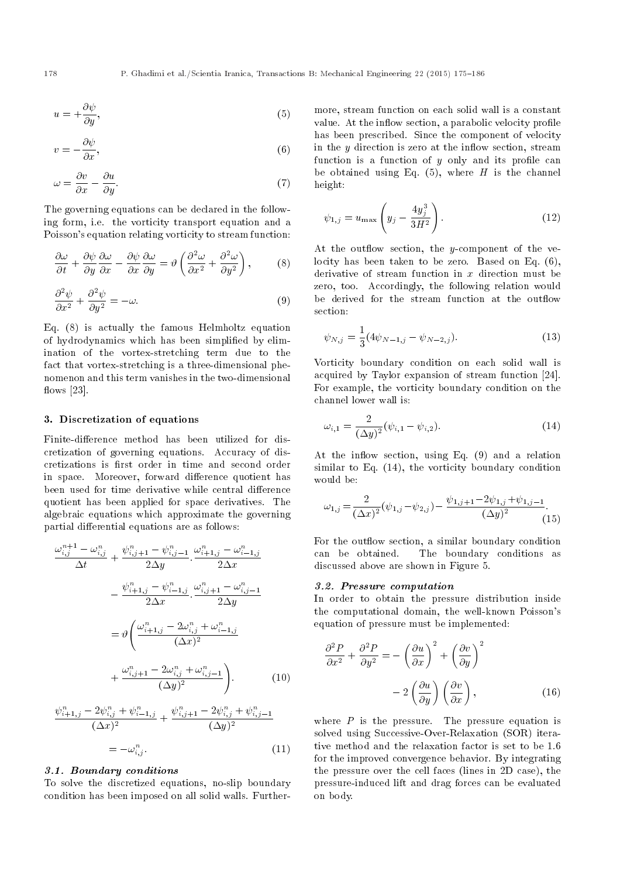$$
u = +\frac{\partial \psi}{\partial y},\tag{5}
$$

$$
v = -\frac{\partial \psi}{\partial x},\tag{6}
$$

$$
\omega = \frac{\partial v}{\partial x} - \frac{\partial u}{\partial y}.\tag{7}
$$

The governing equations can be declared in the following form, i.e. the vorticity transport equation and a Poisson's equation relating vorticity to stream function:

$$
\frac{\partial \omega}{\partial t} + \frac{\partial \psi}{\partial y} \frac{\partial \omega}{\partial x} - \frac{\partial \psi}{\partial x} \frac{\partial \omega}{\partial y} = \vartheta \left( \frac{\partial^2 \omega}{\partial x^2} + \frac{\partial^2 \omega}{\partial y^2} \right), \tag{8}
$$

$$
\frac{\partial^2 \psi}{\partial x^2} + \frac{\partial^2 \psi}{\partial y^2} = -\omega.
$$
\n(9)

Eq. (8) is actually the famous Helmholtz equation of hydrodynamics which has been simplied by elimination of the vortex-stretching term due to the fact that vortex-stretching is a three-dimensional phenomenon and this term vanishes in the two-dimensional flows  $[23]$ .

# 3. Discretization of equations

Finite-difference method has been utilized for discretization of governing equations. Accuracy of discretizations is first order in time and second order in space. Moreover, forward difference quotient has been used for time derivative while central difference quotient has been applied for space derivatives. The algebraic equations which approximate the governing partial differential equations are as follows:

$$
\frac{\omega_{i,j}^{n+1} - \omega_{i,j}^{n}}{\Delta t} + \frac{\psi_{i,j+1}^{n} - \psi_{i,j-1}^{n}}{2\Delta y} \cdot \frac{\omega_{i+1,j}^{n} - \omega_{i-1,j}^{n}}{2\Delta x} \n- \frac{\psi_{i+1,j}^{n} - \psi_{i-1,j}^{n}}{2\Delta x} \cdot \frac{\omega_{i,j+1}^{n} - \omega_{i,j-1}^{n}}{2\Delta y} \n= \vartheta \left( \frac{\omega_{i+1,j}^{n} - 2\omega_{i,j}^{n} + \omega_{i-1,j}^{n}}{(\Delta x)^{2}} \right) \n+ \frac{\omega_{i,j+1}^{n} - 2\omega_{i,j}^{n} + \omega_{i,j-1}^{n}}{(\Delta y)^{2}} \right)
$$
\n(10)

$$
\frac{\psi_{i+1,j}^n - 2\psi_{i,j}^n + \psi_{i-1,j}^n}{(\Delta x)^2} + \frac{\psi_{i,j+1}^n - 2\psi_{i,j}^n + \psi_{i,j-1}^n}{(\Delta y)^2}
$$

$$
= -\omega_{i,j}^n.
$$
(11)

### 3.1. Boundary conditions

To solve the discretized equations, no-slip boundary condition has been imposed on all solid walls. Furthermore, stream function on each solid wall is a constant value. At the inflow section, a parabolic velocity profile has been prescribed. Since the component of velocity in the  $y$  direction is zero at the inflow section, stream function is a function of  $y$  only and its profile can be obtained using Eq.  $(5)$ , where H is the channel height:

$$
\psi_{1,j} = u_{\max} \left( y_j - \frac{4y_j^3}{3H^2} \right). \tag{12}
$$

At the outflow section, the y-component of the velocity has been taken to be zero. Based on Eq. (6), derivative of stream function in  $x$  direction must be zero, too. Accordingly, the following relation would be derived for the stream function at the outflow section:

$$
\psi_{N,j} = \frac{1}{3} (4\psi_{N-1,j} - \psi_{N-2,j}). \tag{13}
$$

Vorticity boundary condition on each solid wall is acquired by Taylor expansion of stream function [24]. For example, the vorticity boundary condition on the channel lower wall is:

$$
\omega_{i,1} = \frac{2}{(\Delta y)^2} (\psi_{i,1} - \psi_{i,2}).
$$
\n(14)

At the inflow section, using Eq. (9) and a relation similar to Eq. (14), the vorticity boundary condition would be:

$$
\omega_{1,j} = \frac{2}{(\Delta x)^2} (\psi_{1,j} - \psi_{2,j}) - \frac{\psi_{1,j+1} - 2\psi_{1,j} + \psi_{1,j-1}}{(\Delta y)^2}.
$$
\n(15)

For the outflow section, a similar boundary condition can be obtained. The boundary conditions as discussed above are shown in Figure 5.

## 3.2. Pressure computation

In order to obtain the pressure distribution inside the computational domain, the well-known Poisson's equation of pressure must be implemented:

$$
\frac{\partial^2 P}{\partial x^2} + \frac{\partial^2 P}{\partial y^2} = -\left(\frac{\partial u}{\partial x}\right)^2 + \left(\frac{\partial v}{\partial y}\right)^2
$$

$$
-2\left(\frac{\partial u}{\partial y}\right)\left(\frac{\partial v}{\partial x}\right),\tag{16}
$$

where  $P$  is the pressure. The pressure equation is solved using Successive-Over-Relaxation (SOR) iterative method and the relaxation factor is set to be 1.6 for the improved convergence behavior. By integrating the pressure over the cell faces (lines in 2D case), the pressure-induced lift and drag forces can be evaluated on body.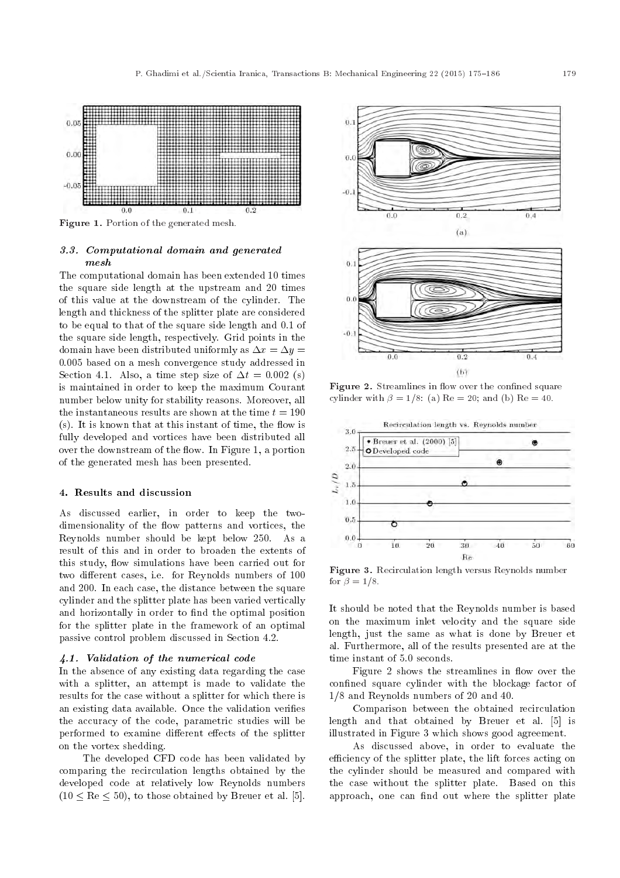

Figure 1. Portion of the generated mesh.

# 3.3. Computational domain and generated mesh

The computational domain has been extended 10 times the square side length at the upstream and 20 times of this value at the downstream of the cylinder. The length and thickness of the splitter plate are considered to be equal to that of the square side length and 0.1 of the square side length, respectively. Grid points in the domain have been distributed uniformly as  $\Delta x = \Delta y =$ 0:005 based on a mesh convergence study addressed in Section 4.1. Also, a time step size of  $\Delta t = 0.002$  (s) is maintained in order to keep the maximum Courant number below unity for stability reasons. Moreover, all the instantaneous results are shown at the time  $t = 190$  $(s)$ . It is known that at this instant of time, the flow is fully developed and vortices have been distributed all over the downstream of the flow. In Figure 1, a portion of the generated mesh has been presented.

#### 4. Results and discussion

As discussed earlier, in order to keep the twodimensionality of the flow patterns and vortices, the Reynolds number should be kept below 250. As a result of this and in order to broaden the extents of this study, flow simulations have been carried out for two different cases, i.e. for Reynolds numbers of 100 and 200. In each case, the distance between the square cylinder and the splitter plate has been varied vertically and horizontally in order to find the optimal position for the splitter plate in the framework of an optimal passive control problem discussed in Section 4.2.

#### 4.1. Validation of the numerical code

In the absence of any existing data regarding the case with a splitter, an attempt is made to validate the results for the case without a splitter for which there is an existing data available. Once the validation veries the accuracy of the code, parametric studies will be performed to examine different effects of the splitter on the vortex shedding.

The developed CFD code has been validated by comparing the recirculation lengths obtained by the developed code at relatively low Reynolds numbers  $(10 < Re < 50)$ , to those obtained by Breuer et al. [5].



**Figure 2.** Streamlines in flow over the confined square cylinder with  $\beta = 1/8$ : (a) Re = 20; and (b) Re = 40.



Figure 3. Recirculation length versus Reynolds number for  $\beta = 1/8$ .

It should be noted that the Reynolds number is based on the maximum inlet velocity and the square side length, just the same as what is done by Breuer et al. Furthermore, all of the results presented are at the time instant of 5.0 seconds.

Figure 2 shows the streamlines in flow over the confined square cylinder with the blockage factor of 1/8 and Reynolds numbers of 20 and 40.

Comparison between the obtained recirculation length and that obtained by Breuer et al. [5] is illustrated in Figure 3 which shows good agreement.

As discussed above, in order to evaluate the efficiency of the splitter plate, the lift forces acting on the cylinder should be measured and compared with the case without the splitter plate. Based on this approach, one can find out where the splitter plate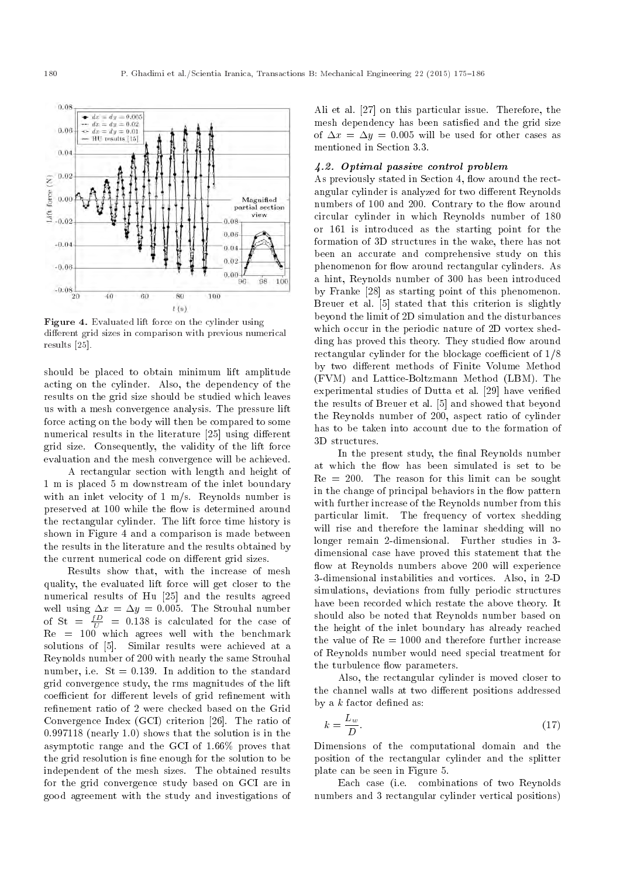

Figure 4. Evaluated lift force on the cylinder using different grid sizes in comparison with previous numerical results [25].

should be placed to obtain minimum lift amplitude acting on the cylinder. Also, the dependency of the results on the grid size should be studied which leaves us with a mesh convergence analysis. The pressure lift force acting on the body will then be compared to some numerical results in the literature [25] using different grid size. Consequently, the validity of the lift force evaluation and the mesh convergence will be achieved.

A rectangular section with length and height of 1 m is placed 5 m downstream of the inlet boundary with an inlet velocity of 1 m/s. Reynolds number is preserved at 100 while the flow is determined around the rectangular cylinder. The lift force time history is shown in Figure 4 and a comparison is made between the results in the literature and the results obtained by the current numerical code on different grid sizes.

Results show that, with the increase of mesh quality, the evaluated lift force will get closer to the numerical results of Hu [25] and the results agreed well using  $\Delta x = \Delta y = 0.005$ . The Strouhal number of St =  $\frac{fD}{U}$  = 0.138 is calculated for the case of  $Re = 100$  which agrees well with the benchmark solutions of [5]. Similar results were achieved at a Reynolds number of 200 with nearly the same Strouhal number, i.e.  $St = 0.139$ . In addition to the standard grid convergence study, the rms magnitudes of the lift coefficient for different levels of grid refinement with refinement ratio of 2 were checked based on the Grid Convergence Index (GCI) criterion [26]. The ratio of 0.997118 (nearly 1.0) shows that the solution is in the asymptotic range and the GCI of 1.66% proves that the grid resolution is fine enough for the solution to be independent of the mesh sizes. The obtained results for the grid convergence study based on GCI are in good agreement with the study and investigations of Ali et al. [27] on this particular issue. Therefore, the mesh dependency has been satisfied and the grid size of  $\Delta x = \Delta y = 0.005$  will be used for other cases as mentioned in Section 3.3.

# 4.2. Optimal passive control problem

As previously stated in Section 4, flow around the rectangular cylinder is analyzed for two different Reynolds numbers of 100 and 200. Contrary to the flow around circular cylinder in which Reynolds number of 180 or 161 is introduced as the starting point for the formation of 3D structures in the wake, there has not been an accurate and comprehensive study on this phenomenon for flow around rectangular cylinders. As a hint, Reynolds number of 300 has been introduced by Franke [28] as starting point of this phenomenon. Breuer et al. [5] stated that this criterion is slightly beyond the limit of 2D simulation and the disturbances which occur in the periodic nature of 2D vortex shedding has proved this theory. They studied flow around rectangular cylinder for the blockage coefficient of  $1/8$ by two different methods of Finite Volume Method (FVM) and Lattice-Boltzmann Method (LBM). The experimental studies of Dutta et al. [29] have veried the results of Breuer et al. [5] and showed that beyond the Reynolds number of 200, aspect ratio of cylinder has to be taken into account due to the formation of 3D structures.

In the present study, the final Reynolds number at which the flow has been simulated is set to be  $Re = 200$ . The reason for this limit can be sought in the change of principal behaviors in the flow pattern with further increase of the Reynolds number from this particular limit. The frequency of vortex shedding will rise and therefore the laminar shedding will no longer remain 2-dimensional. Further studies in 3 dimensional case have proved this statement that the flow at Reynolds numbers above 200 will experience 3-dimensional instabilities and vortices. Also, in 2-D simulations, deviations from fully periodic structures have been recorded which restate the above theory. It should also be noted that Reynolds number based on the height of the inlet boundary has already reached the value of  $Re = 1000$  and therefore further increase of Reynolds number would need special treatment for the turbulence flow parameters.

Also, the rectangular cylinder is moved closer to the channel walls at two different positions addressed by a  $k$  factor defined as:

$$
k = \frac{L_w}{D}.\tag{17}
$$

Dimensions of the computational domain and the position of the rectangular cylinder and the splitter plate can be seen in Figure 5.

Each case (i.e. combinations of two Reynolds numbers and 3 rectangular cylinder vertical positions)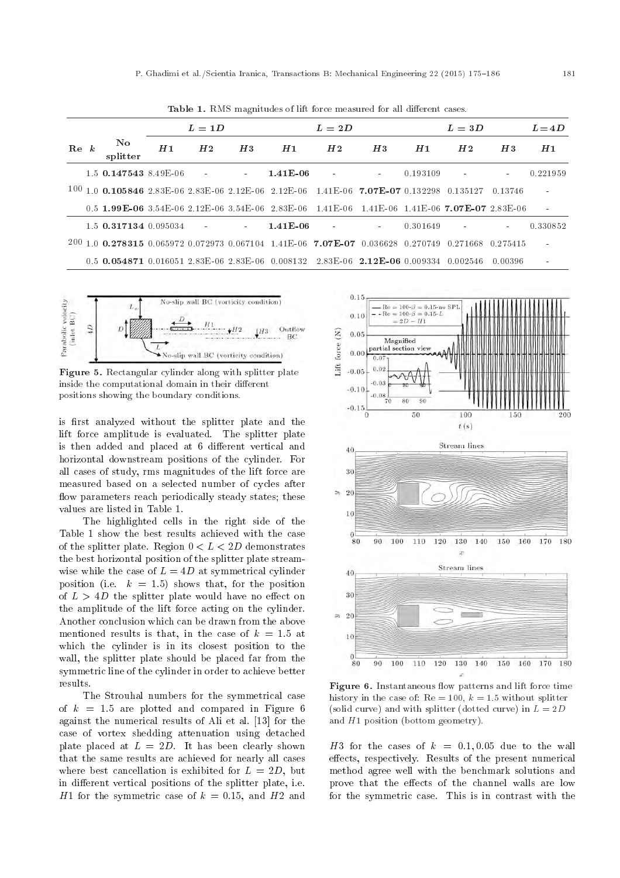|                 |                                    | $L = 1D$ |                |                        | $L = 2D$                                                                                          |                |            | $L=3D$   |                |            | $L = 4D$ |
|-----------------|------------------------------------|----------|----------------|------------------------|---------------------------------------------------------------------------------------------------|----------------|------------|----------|----------------|------------|----------|
| $\mathbf{Re} k$ | $\mathbf{N}\mathbf{o}$<br>splitter | H1       | H <sub>2</sub> | H3                     | H1                                                                                                | H2             | H3         | H1       | H2             | H3         | H1       |
|                 | $1.5$ 0.147543 8.49 F-06           |          |                | $\sim 100$             | $1.41E-06$                                                                                        | $\blacksquare$ | $\sim$     | 0.193109 | $\blacksquare$ | $\sim$     | 0.221959 |
|                 |                                    |          |                |                        | $100$ 1.0 0.105846 2.83 E 06 2.83 E 06 2.12 E 06 2.12 E 06 1.41 E 06 7.07 E -07 0.132298 0.135127 |                |            |          |                | 0.13746    |          |
|                 |                                    |          |                |                        | 0.5 1.99E-06 3.54E-06 2.12E-06 3.54E-06 2.83E-06 1.41E-06 1.41E-06 7.07E-07 2.83E-06              |                |            |          |                |            |          |
|                 | $1.5$ 0.317134 0.095034            |          | $\sim$ 100 $-$ | $\Delta \sim 10^{-11}$ | $1.41E-06$                                                                                        | $\blacksquare$ | $\sim 100$ | 0.301649 | $\blacksquare$ | $\sim 100$ | 0.330852 |
|                 |                                    |          |                |                        | 200 1.0 0.278315 0.065972 0.072973 0.067104 1.41E-06 7.07E-07 0.036628 0.270749                   |                |            |          | 0.271668       | 0.275415   |          |
|                 |                                    |          |                |                        | $0.5$ 0.054871 0.016051 2.83E-06 2.83E-06 0.008132 2.83E-06 2.12E-06 0.009334 0.002546            |                |            |          |                | -0.00396-  |          |

Table 1. RMS magnitudes of lift force measured for all different cases.



Figure 5. Rectangular cylinder along with splitter plate inside the computational domain in their different positions showing the boundary conditions.

is first analyzed without the splitter plate and the lift force amplitude is evaluated. The splitter plate is then added and placed at 6 different vertical and horizontal downstream positions of the cylinder. For all cases of study, rms magnitudes of the lift force are measured based on a selected number of cycles after flow parameters reach periodically steady states; these values are listed in Table 1.

The highlighted cells in the right side of the Table 1 show the best results achieved with the case of the splitter plate. Region  $0 < L < 2D$  demonstrates the best horizontal position of the splitter plate streamwise while the case of  $L = 4D$  at symmetrical cylinder position (i.e.  $k = 1.5$ ) shows that, for the position of  $L > 4D$  the splitter plate would have no effect on the amplitude of the lift force acting on the cylinder. Another conclusion which can be drawn from the above mentioned results is that, in the case of  $k = 1.5$  at which the cylinder is in its closest position to the wall, the splitter plate should be placed far from the symmetric line of the cylinder in order to achieve better results.

The Strouhal numbers for the symmetrical case of  $k = 1.5$  are plotted and compared in Figure 6 against the numerical results of Ali et al. [13] for the case of vortex shedding attenuation using detached plate placed at  $L = 2D$ . It has been clearly shown that the same results are achieved for nearly all cases where best cancellation is exhibited for  $L = 2D$ , but in different vertical positions of the splitter plate, i.e. H<sub>1</sub> for the symmetric case of  $k = 0.15$ , and H<sub>2</sub> and



Figure 6. Instantaneous flow patterns and lift force time history in the case of:  $Re = 100$ ,  $k = 1.5$  without splitter (solid curve) and with splitter (dotted curve) in  $L = 2D$ and  $H1$  position (bottom geometry).

H3 for the cases of  $k = 0.1, 0.05$  due to the wall effects, respectively. Results of the present numerical method agree well with the benchmark solutions and prove that the effects of the channel walls are low for the symmetric case. This is in contrast with the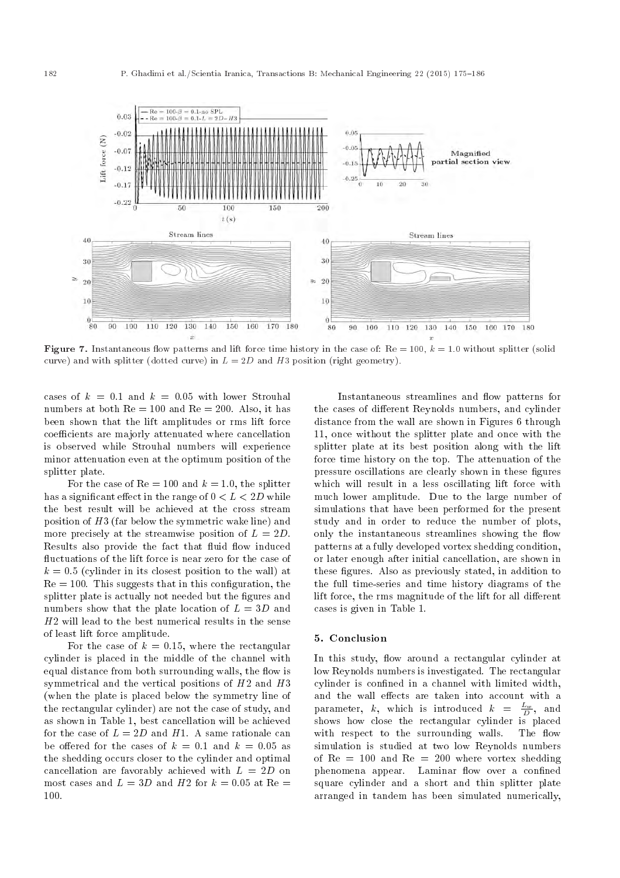

**Figure 7.** Instantaneous flow patterns and lift force time history in the case of:  $Re = 100$ ,  $k = 1.0$  without splitter (solid curve) and with splitter (dotted curve) in  $L = 2D$  and H3 position (right geometry).

cases of  $k = 0.1$  and  $k = 0.05$  with lower Strouhal numbers at both  $Re = 100$  and  $Re = 200$ . Also, it has been shown that the lift amplitudes or rms lift force coefficients are majorly attenuated where cancellation is observed while Strouhal numbers will experience minor attenuation even at the optimum position of the splitter plate.

For the case of  $Re = 100$  and  $k = 1.0$ , the splitter has a significant effect in the range of  $0 < L < 2D$  while the best result will be achieved at the cross stream position of H3 (far below the symmetric wake line) and more precisely at the streamwise position of  $L = 2D$ . Results also provide the fact that fluid flow induced fluctuations of the lift force is near zero for the case of  $k = 0.5$  (cylinder in its closest position to the wall) at  $Re = 100$ . This suggests that in this configuration, the splitter plate is actually not needed but the figures and numbers show that the plate location of  $L = 3D$  and  $H2$  will lead to the best numerical results in the sense of least lift force amplitude.

For the case of  $k = 0.15$ , where the rectangular cylinder is placed in the middle of the channel with equal distance from both surrounding walls, the flow is symmetrical and the vertical positions of H2 and H3 (when the plate is placed below the symmetry line of the rectangular cylinder) are not the case of study, and as shown in Table 1, best cancellation will be achieved for the case of  $L = 2D$  and H1. A same rationale can be offered for the cases of  $k = 0.1$  and  $k = 0.05$  as the shedding occurs closer to the cylinder and optimal cancellation are favorably achieved with  $L = 2D$  on most cases and  $L = 3D$  and H2 for  $k = 0.05$  at Re 100.

Instantaneous streamlines and flow patterns for the cases of different Reynolds numbers, and cylinder distance from the wall are shown in Figures 6 through 11, once without the splitter plate and once with the splitter plate at its best position along with the lift force time history on the top. The attenuation of the pressure oscillations are clearly shown in these figures which will result in a less oscillating lift force with much lower amplitude. Due to the large number of simulations that have been performed for the present study and in order to reduce the number of plots, only the instantaneous streamlines showing the flow patterns at a fully developed vortex shedding condition, or later enough after initial cancellation, are shown in these figures. Also as previously stated, in addition to the full time-series and time history diagrams of the lift force, the rms magnitude of the lift for all different cases is given in Table 1.

## 5. Conclusion

In this study, flow around a rectangular cylinder at low Reynolds numbers is investigated. The rectangular cylinder is confined in a channel with limited width, and the wall effects are taken into account with a parameter, k, which is introduced  $k = \frac{L_w}{D}$ , and shows how close the rectangular cylinder is placed with respect to the surrounding walls. The flow simulation is studied at two low Reynolds numbers of  $Re = 100$  and  $Re = 200$  where vortex shedding phenomena appear. Laminar flow over a confined square cylinder and a short and thin splitter plate arranged in tandem has been simulated numerically,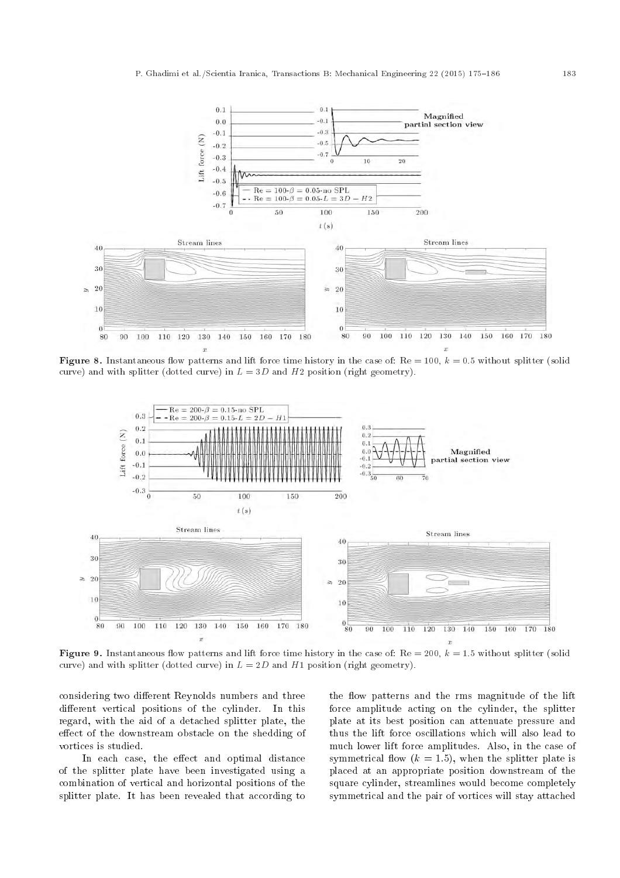

Figure 8. Instantaneous flow patterns and lift force time history in the case of:  $Re = 100$ ,  $k = 0.5$  without splitter (solid curve) and with splitter (dotted curve) in  $L = 3D$  and  $H2$  position (right geometry).



Figure 9. Instantaneous flow patterns and lift force time history in the case of:  $Re = 200$ ,  $k = 1.5$  without splitter (solid curve) and with splitter (dotted curve) in  $L = 2D$  and H1 position (right geometry).

considering two different Reynolds numbers and three different vertical positions of the cylinder. In this regard, with the aid of a detached splitter plate, the effect of the downstream obstacle on the shedding of vortices is studied.

In each case, the effect and optimal distance of the splitter plate have been investigated using a combination of vertical and horizontal positions of the splitter plate. It has been revealed that according to

the flow patterns and the rms magnitude of the lift force amplitude acting on the cylinder, the splitter plate at its best position can attenuate pressure and thus the lift force oscillations which will also lead to much lower lift force amplitudes. Also, in the case of symmetrical flow  $(k = 1.5)$ , when the splitter plate is placed at an appropriate position downstream of the square cylinder, streamlines would become completely symmetrical and the pair of vortices will stay attached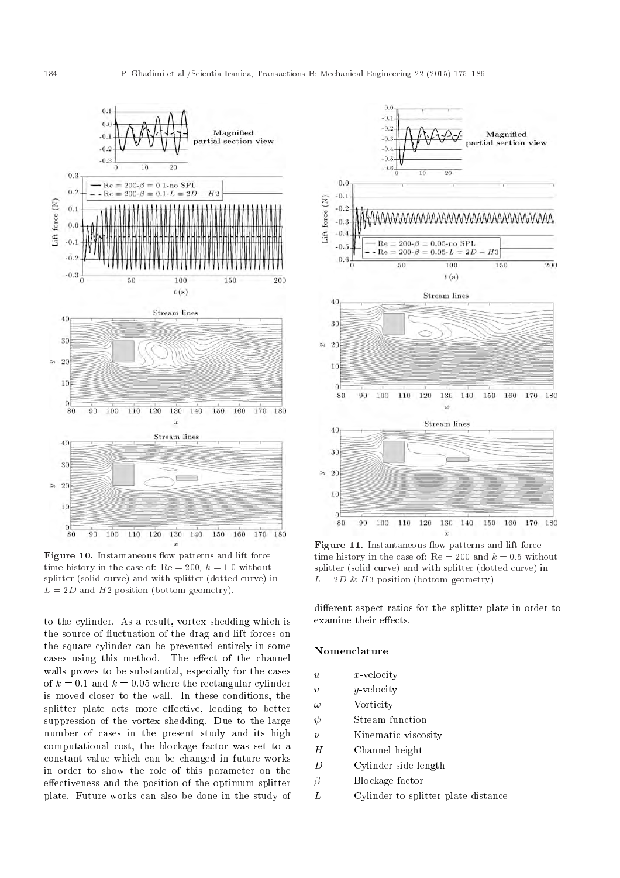

Figure 10. Instantaneous flow patterns and lift force time history in the case of:  $Re = 200, k = 1.0$  without splitter (solid curve) and with splitter (dotted curve) in  $L = 2D$  and H2 position (bottom geometry).

to the cylinder. As a result, vortex shedding which is the source of fluctuation of the drag and lift forces on the square cylinder can be prevented entirely in some cases using this method. The effect of the channel walls proves to be substantial, especially for the cases of  $k = 0.1$  and  $k = 0.05$  where the rectangular cylinder is moved closer to the wall. In these conditions, the splitter plate acts more effective, leading to better suppression of the vortex shedding. Due to the large number of cases in the present study and its high computational cost, the blockage factor was set to a constant value which can be changed in future works in order to show the role of this parameter on the effectiveness and the position of the optimum splitter plate. Future works can also be done in the study of



Figure 11. Instantaneous flow patterns and lift force time history in the case of:  $Re = 200$  and  $k = 0.5$  without splitter (solid curve) and with splitter (dotted curve) in  $L = 2D \& H3$  position (bottom geometry).

different aspect ratios for the splitter plate in order to examine their effects.

# Nomenclature

- $u \longrightarrow x$ -velocity
- $v \longrightarrow y$ -velocity
- $\omega$  Vorticity
- $\psi$  Stream function
- $\nu$  Kinematic viscosity
- H Channel height
- D Cylinder side length
- $\beta$  Blockage factor
- L Cylinder to splitter plate distance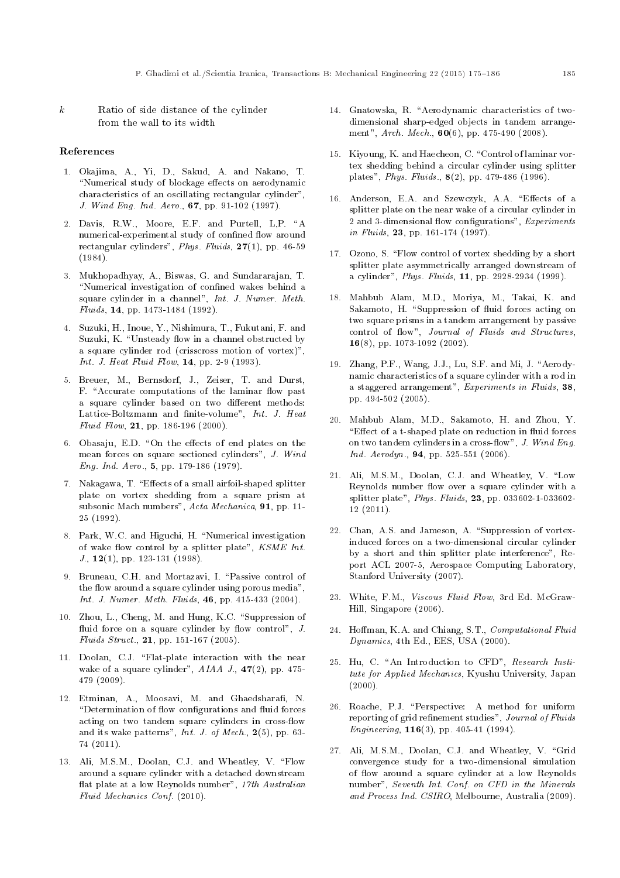$k$  Ratio of side distance of the cylinder from the wall to its width

#### References

- 1. Okajima, A., Yi, D., Sakud, A. and Nakano, T. "Numerical study of blockage effects on aerodynamic characteristics of an oscillating rectangular cylinder", J. Wind Eng. Ind. Aero., 67, pp. 91-102 (1997).
- 2. Davis, R.W., Moore, E.F. and Purtell, L.P. "A numerical-experimental study of confined flow around rectangular cylinders", Phys. Fluids, 27(1), pp. 46-59 (1984).
- 3. Mukhopadhyay, A., Biswas, G. and Sundararajan, T. "Numerical investigation of confined wakes behind a square cylinder in a channel", Int. J. Numer. Meth. Fluids, 14, pp. 1473-1484 (1992).
- 4. Suzuki, H., Inoue, Y., Nishimura, T., Fukutani, F. and Suzuki, K. "Unsteady flow in a channel obstructed by a square cylinder rod (crisscross motion of vortex)", Int. J. Heat Fluid Flow, **14**, pp. 2-9 (1993).
- 5. Breuer, M., Bernsdorf, J., Zeiser, T. and Durst, F. "Accurate computations of the laminar flow past a square cylinder based on two different methods: Lattice-Boltzmann and finite-volume", Int. J. Heat Fluid Flow, 21, pp. 186-196 (2000).
- 6. Obasaju, E.D. "On the effects of end plates on the mean forces on square sectioned cylinders", J. Wind Eng. Ind. Aero., 5, pp. 179-186 (1979).
- 7. Nakagawa, T. "Effects of a small airfoil-shaped splitter plate on vortex shedding from a square prism at subsonic Mach numbers", Acta Mechanica, 91, pp. 11- 25 (1992).
- 8. Park, W.C. and Higuchi, H. "Numerical investigation of wake flow control by a splitter plate", KSME Int.  $J_{\cdot}$ , 12(1), pp. 123-131 (1998).
- 9. Bruneau, C.H. and Mortazavi, I. "Passive control of the flow around a square cylinder using porous media", Int. J. Numer. Meth. Fluids, 46, pp. 415-433 (2004).
- 10. Zhou, L., Cheng, M. and Hung, K.C. "Suppression of fluid force on a square cylinder by flow control",  $J$ . Fluids Struct., 21, pp. 151-167 (2005).
- 11. Doolan, C.J. "Flat-plate interaction with the near wake of a square cylinder",  $AIAA$  J.,  $47(2)$ , pp. 475-479 (2009).
- 12. Etminan, A., Moosavi, M. and Ghaedsharafi, N. "Determination of flow configurations and fluid forces acting on two tandem square cylinders in cross-flow and its wake patterns", Int. J. of Mech.,  $2(5)$ , pp. 63-74 (2011).
- 13. Ali, M.S.M., Doolan, C.J. and Wheatley, V. "Flow around a square cylinder with a detached downstream at plate at a low Reynolds number", 17th Australian Fluid Mechanics Conf. (2010).
- 14. Gnatowska, R. "Aerodynamic characteristics of twodimensional sharp-edged objects in tandem arrangement", Arch. Mech., 60(6), pp. 475-490 (2008).
- 15. Kiyoung, K. and Haecheon, C. "Control of laminar vortex shedding behind a circular cylinder using splitter plates", Phys. Fluids., 8(2), pp. 479-486 (1996).
- 16. Anderson, E.A. and Szewczyk, A.A. "Effects of a splitter plate on the near wake of a circular cylinder in 2 and 3-dimensional flow configurations", Experiments in Fluids, 23, pp. 161-174 (1997).
- 17. Ozono, S. \Flow control of vortex shedding by a short splitter plate asymmetrically arranged downstream of a cylinder", Phys. Fluids, 11, pp. 2928-2934 (1999).
- 18. Mahbub Alam, M.D., Moriya, M., Takai, K. and Sakamoto, H. "Suppression of fluid forces acting on two square prisms in a tandem arrangement by passive control of flow", Journal of Fluids and Structures, 16(8), pp. 1073-1092 (2002).
- 19. Zhang, P.F., Wang, J.J., Lu, S.F. and Mi, J. \Aerodynamic characteristics of a square cylinder with a rod in a staggered arrangement", Experiments in Fluids, 38, pp. 494-502 (2005).
- 20. Mahbub Alam, M.D., Sakamoto, H. and Zhou, Y. "Effect of a t-shaped plate on reduction in fluid forces on two tandem cylinders in a cross-flow",  $J.$  Wind Eng. Ind. Aerodyn., 94, pp. 525-551 (2006).
- 21. Ali, M.S.M., Doolan, C.J. and Wheatley, V. "Low Reynolds number flow over a square cylinder with a splitter plate", Phys. Fluids, 23, pp. 033602-1-033602- 12 (2011).
- 22. Chan, A.S. and Jameson, A. "Suppression of vortexinduced forces on a two-dimensional circular cylinder by a short and thin splitter plate interference", Report ACL 2007-5, Aerospace Computing Laboratory, Stanford University (2007).
- 23. White, F.M., Viscous Fluid Flow, 3rd Ed. McGraw-Hill, Singapore (2006).
- 24. Hoffman, K.A. and Chiang, S.T., Computational Fluid Dynamics, 4th Ed., EES, USA (2000).
- 25. Hu, C. "An Introduction to CFD", Research Institute for Applied Mechanics, Kyushu University, Japan  $(2000)$ .
- 26. Roache, P.J. \Perspective: A method for uniform reporting of grid refinement studies", Journal of Fluids Engineering,  $116(3)$ , pp. 405-41 (1994).
- 27. Ali, M.S.M., Doolan, C.J. and Wheatley, V. "Grid convergence study for a two-dimensional simulation of flow around a square cylinder at a low Reynolds number", Seventh Int. Conf. on CFD in the Minerals and Process Ind. CSIRO, Melbourne, Australia (2009).